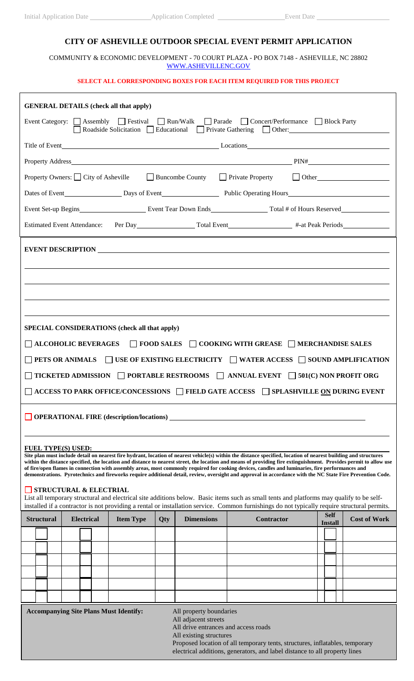## **CITY OF ASHEVILLE OUTDOOR SPECIAL EVENT PERMIT APPLICATION**

COMMUNITY & ECONOMIC DEVELOPMENT - 70 COURT PLAZA - PO BOX 7148 - ASHEVILLE, NC 28802 [WWW.ASHEVILLENC.GOV](http://www.ashevillenc.gov/specialevents)

## **SELECT ALL CORRESPONDING BOXES FOR EACH ITEM REQUIRED FOR THIS PROJECT**

| <b>GENERAL DETAILS (check all that apply)</b>                                                                                                                                                                                                                                                                                         |  |  |  |  |  |
|---------------------------------------------------------------------------------------------------------------------------------------------------------------------------------------------------------------------------------------------------------------------------------------------------------------------------------------|--|--|--|--|--|
| Event Category: △ Assembly △ Festival △ Run/Walk △ Parade △ Concert/Performance △ Block Party<br>Roadside Solicitation   Educational   Private Gathering   Other: 0.11                                                                                                                                                                |  |  |  |  |  |
|                                                                                                                                                                                                                                                                                                                                       |  |  |  |  |  |
|                                                                                                                                                                                                                                                                                                                                       |  |  |  |  |  |
| Property Owners: □ City of Asheville □ Buncombe County □ Private Property □ Other                                                                                                                                                                                                                                                     |  |  |  |  |  |
|                                                                                                                                                                                                                                                                                                                                       |  |  |  |  |  |
|                                                                                                                                                                                                                                                                                                                                       |  |  |  |  |  |
| Estimated Event Attendance: Per Day Total Event Total Event #-at Peak Periods                                                                                                                                                                                                                                                         |  |  |  |  |  |
|                                                                                                                                                                                                                                                                                                                                       |  |  |  |  |  |
|                                                                                                                                                                                                                                                                                                                                       |  |  |  |  |  |
|                                                                                                                                                                                                                                                                                                                                       |  |  |  |  |  |
|                                                                                                                                                                                                                                                                                                                                       |  |  |  |  |  |
|                                                                                                                                                                                                                                                                                                                                       |  |  |  |  |  |
| SPECIAL CONSIDERATIONS (check all that apply)                                                                                                                                                                                                                                                                                         |  |  |  |  |  |
| $\vert$ ALCOHOLIC BEVERAGES $\vert$ FOOD SALES $\vert$ COOKING WITH GREASE $\vert$ MERCHANDISE SALES                                                                                                                                                                                                                                  |  |  |  |  |  |
| PETS OR ANIMALS $\Box$ USE OF EXISTING ELECTRICITY $\Box$ WATER ACCESS $\Box$ SOUND AMPLIFICATION                                                                                                                                                                                                                                     |  |  |  |  |  |
| <b>TICKETED ADMISSION</b> $\Box$ PORTABLE RESTROOMS $\Box$ ANNUAL EVENT $\Box$ 501(C) NON PROFIT ORG                                                                                                                                                                                                                                  |  |  |  |  |  |
| ACCESS TO PARK OFFICE/CONCESSIONS □ FIELD GATE ACCESS □ SPLASHVILLE ON DURING EVENT                                                                                                                                                                                                                                                   |  |  |  |  |  |
| OPERATIONAL FIRE (description/locations)                                                                                                                                                                                                                                                                                              |  |  |  |  |  |
|                                                                                                                                                                                                                                                                                                                                       |  |  |  |  |  |
| <b>FUEL TYPE(S) USED:</b>                                                                                                                                                                                                                                                                                                             |  |  |  |  |  |
| Site plan must include detail on nearest fire hydrant, location of nearest vehicle(s) within the distance specified, location of nearest building and structures<br>within the distance specified, the location and distance to nearest street, the location and means of providing fire extinguishment. Provides permit to allow use |  |  |  |  |  |
| of fire/open flames in connection with assembly areas, most commonly required for cooking devices, candles and luminaries, fire performances and<br>demonstrations. Pyrotechnics and fireworks require additional detail, review, oversight and approval in accordance with the NC State Fire Prevention Code.                        |  |  |  |  |  |
| STRUCTURAL & ELECTRIAL<br>List all temporary structural and electrical site additions below. Basic items such as small tents and platforms may qualify to be self-                                                                                                                                                                    |  |  |  |  |  |
| installed if a contractor is not providing a rental or installation service. Common furnishings do not typically require structural permits.<br><b>Self</b><br><b>Cost of Work</b><br><b>Electrical</b><br><b>Dimensions</b><br>Contractor<br><b>Structural</b><br><b>Item Type</b>                                                   |  |  |  |  |  |
| Qty<br><b>Install</b>                                                                                                                                                                                                                                                                                                                 |  |  |  |  |  |
|                                                                                                                                                                                                                                                                                                                                       |  |  |  |  |  |
|                                                                                                                                                                                                                                                                                                                                       |  |  |  |  |  |
|                                                                                                                                                                                                                                                                                                                                       |  |  |  |  |  |
|                                                                                                                                                                                                                                                                                                                                       |  |  |  |  |  |
|                                                                                                                                                                                                                                                                                                                                       |  |  |  |  |  |
| <b>Accompanying Site Plans Must Identify:</b><br>All property boundaries<br>All adjacent streets                                                                                                                                                                                                                                      |  |  |  |  |  |
| All drive entrances and access roads<br>All existing structures<br>Proposed location of all temporary tents, structures, inflatables, temporary                                                                                                                                                                                       |  |  |  |  |  |

electrical additions, generators, and label distance to all property lines